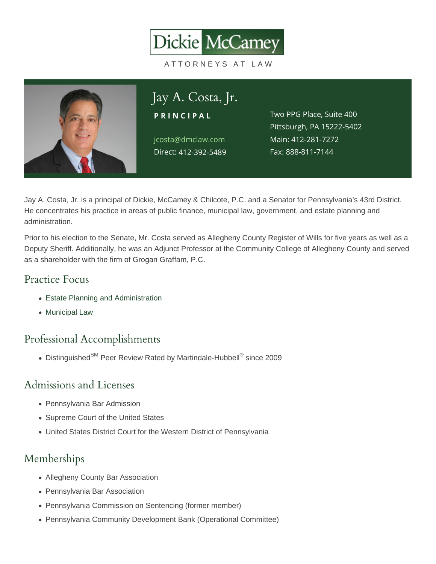#### Jay A. Costa, Jr. PRINCIPAL jcosta@dmclaw.com Direct12-392-5489 Two PPG Place, Suite 400 Pittsburgh, PA 15222-5402 Main4:12-281-7272 Fax: 888-811-7144

Jay A. Costa, Jr. is a principal of Dickie, McCamey & Chilcote, P.C. and a Senator for Pennsylvania's 43rd District. He concentrates his practice in areas of public finance, municipal law, government, and estate planning and administration.

Prior to his election to the Senate, Mr. Costa served as Allegheny County Register of Wills for five years as well as a Deputy Sheriff. Additionally, he was an Adjunct Professor at the Community College of Allegheny County and served as a shareholder with the firm of Grogan Graffam, P.C.

# Practice Focus

- [Estate Planning and Administration](https://www.dmclaw.com/practices/estate-planning-and-administration/)
- [Municipal Law](https://www.dmclaw.com/practices/municipal-law/)

### Professional Accomplishments

Distinguished<sup>SM</sup> Peer Review Rated by Martindale-Hubbell® since 2009

### Admissions and Licenses

- Pennsylvania Bar Admission
- Supreme Court of the United States
- United States District Court for the Western District of Pennsylvania

## Memberships

- Allegheny County Bar Association
- Pennsylvania Bar Association
- Pennsylvania Commission on Sentencing (former member)
- Pennsylvania Community Development Bank (Operational Committee)